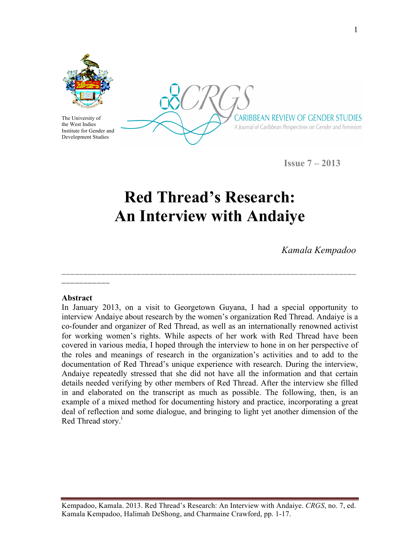

The University of the West Indies Institute for Gender and Development Studies

CARIBBEAN REVIEW OF GENDER STUDIES A Journal of Caribbean Perspectives on Gender and Feminism

**Issue 7 – 2013**

# **Red Thread's Research: An Interview with Andaiye**

**\_\_\_\_\_\_\_\_\_\_\_\_\_\_\_\_\_\_\_\_\_\_\_\_\_\_\_\_\_\_\_\_\_\_\_\_\_\_\_\_\_\_\_\_\_\_\_\_\_\_\_\_\_\_\_\_\_\_\_\_\_\_\_\_\_\_\_**

*Kamala Kempadoo*

#### **Abstract**

**\_\_\_\_\_\_\_\_\_\_\_** 

In January 2013, on a visit to Georgetown Guyana, I had a special opportunity to interview Andaiye about research by the women's organization Red Thread. Andaiye is a co-founder and organizer of Red Thread, as well as an internationally renowned activist for working women's rights. While aspects of her work with Red Thread have been covered in various media, I hoped through the interview to hone in on her perspective of the roles and meanings of research in the organization's activities and to add to the documentation of Red Thread's unique experience with research. During the interview, Andaiye repeatedly stressed that she did not have all the information and that certain details needed verifying by other members of Red Thread. After the interview she filled in and elaborated on the transcript as much as possible. The following, then, is an example of a mixed method for documenting history and practice, incorporating a great deal of reflection and some dialogue, and bringing to light yet another dimension of the Red Thread story.<sup>i</sup>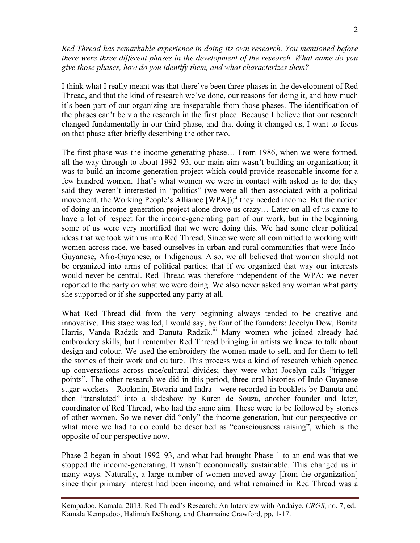#### *Red Thread has remarkable experience in doing its own research. You mentioned before there were three different phases in the development of the research. What name do you give those phases, how do you identify them, and what characterizes them?*

I think what I really meant was that there've been three phases in the development of Red Thread, and that the kind of research we've done, our reasons for doing it, and how much it's been part of our organizing are inseparable from those phases. The identification of the phases can't be via the research in the first place. Because I believe that our research changed fundamentally in our third phase, and that doing it changed us, I want to focus on that phase after briefly describing the other two.

The first phase was the income-generating phase… From 1986, when we were formed, all the way through to about 1992–93, our main aim wasn't building an organization; it was to build an income-generation project which could provide reasonable income for a few hundred women. That's what women we were in contact with asked us to do; they said they weren't interested in "politics" (we were all then associated with a political movement, the Working People's Alliance [WPA]);<sup>11</sup> they needed income. But the notion of doing an income-generation project alone drove us crazy… Later on all of us came to have a lot of respect for the income-generating part of our work, but in the beginning some of us were very mortified that we were doing this. We had some clear political ideas that we took with us into Red Thread. Since we were all committed to working with women across race, we based ourselves in urban and rural communities that were Indo-Guyanese, Afro-Guyanese, or Indigenous. Also, we all believed that women should not be organized into arms of political parties; that if we organized that way our interests would never be central. Red Thread was therefore independent of the WPA; we never reported to the party on what we were doing. We also never asked any woman what party she supported or if she supported any party at all.

What Red Thread did from the very beginning always tended to be creative and innovative. This stage was led, I would say, by four of the founders: Jocelyn Dow, Bonita Harris, Vanda Radzik and Danuta Radzik.<sup>iii</sup> Many women who joined already had embroidery skills, but I remember Red Thread bringing in artists we knew to talk about design and colour. We used the embroidery the women made to sell, and for them to tell the stories of their work and culture. This process was a kind of research which opened up conversations across race/cultural divides; they were what Jocelyn calls "triggerpoints". The other research we did in this period, three oral histories of Indo-Guyanese sugar workers—Rookmin, Etwaria and Indra—were recorded in booklets by Danuta and then "translated" into a slideshow by Karen de Souza, another founder and later, coordinator of Red Thread, who had the same aim. These were to be followed by stories of other women. So we never did "only" the income generation, but our perspective on what more we had to do could be described as "consciousness raising", which is the opposite of our perspective now.

Phase 2 began in about 1992–93, and what had brought Phase 1 to an end was that we stopped the income-generating. It wasn't economically sustainable. This changed us in many ways. Naturally, a large number of women moved away [from the organization] since their primary interest had been income, and what remained in Red Thread was a

Kempadoo, Kamala. 2013. Red Thread's Research: An Interview with Andaiye. *CRGS*, no. 7, ed. Kamala Kempadoo, Halimah DeShong, and Charmaine Crawford, pp. 1-17.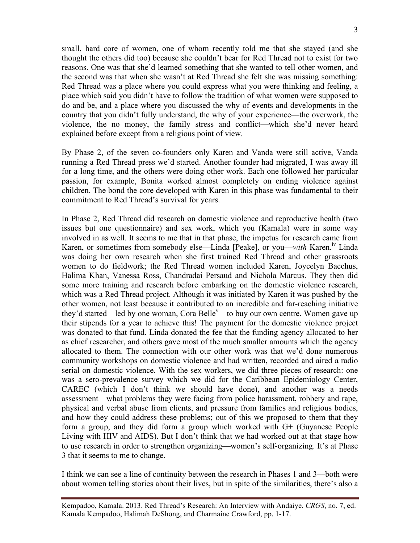small, hard core of women, one of whom recently told me that she stayed (and she thought the others did too) because she couldn't bear for Red Thread not to exist for two reasons. One was that she'd learned something that she wanted to tell other women, and the second was that when she wasn't at Red Thread she felt she was missing something: Red Thread was a place where you could express what you were thinking and feeling, a place which said you didn't have to follow the tradition of what women were supposed to do and be, and a place where you discussed the why of events and developments in the country that you didn't fully understand, the why of your experience—the overwork, the violence, the no money, the family stress and conflict—which she'd never heard explained before except from a religious point of view.

By Phase 2, of the seven co-founders only Karen and Vanda were still active, Vanda running a Red Thread press we'd started. Another founder had migrated, I was away ill for a long time, and the others were doing other work. Each one followed her particular passion, for example, Bonita worked almost completely on ending violence against children. The bond the core developed with Karen in this phase was fundamental to their commitment to Red Thread's survival for years.

In Phase 2, Red Thread did research on domestic violence and reproductive health (two issues but one questionnaire) and sex work, which you (Kamala) were in some way involved in as well. It seems to me that in that phase, the impetus for research came from Karen, or sometimes from somebody else—Linda [Peake], or you—*with* Karen.<sup>IV</sup> Linda was doing her own research when she first trained Red Thread and other grassroots women to do fieldwork; the Red Thread women included Karen, Joycelyn Bacchus, Halima Khan, Vanessa Ross, Chandradai Persaud and Nichola Marcus. They then did some more training and research before embarking on the domestic violence research, which was a Red Thread project. Although it was initiated by Karen it was pushed by the other women, not least because it contributed to an incredible and far-reaching initiative they'd started—led by one woman, Cora Belle<sup>v</sup>—to buy our own centre. Women gave up their stipends for a year to achieve this! The payment for the domestic violence project was donated to that fund. Linda donated the fee that the funding agency allocated to her as chief researcher, and others gave most of the much smaller amounts which the agency allocated to them. The connection with our other work was that we'd done numerous community workshops on domestic violence and had written, recorded and aired a radio serial on domestic violence. With the sex workers, we did three pieces of research: one was a sero-prevalence survey which we did for the Caribbean Epidemiology Center, CAREC (which I don't think we should have done), and another was a needs assessment—what problems they were facing from police harassment, robbery and rape, physical and verbal abuse from clients, and pressure from families and religious bodies, and how they could address these problems; out of this we proposed to them that they form a group, and they did form a group which worked with G+ (Guyanese People Living with HIV and AIDS). But I don't think that we had worked out at that stage how to use research in order to strengthen organizing—women's self-organizing. It's at Phase 3 that it seems to me to change.

I think we can see a line of continuity between the research in Phases 1 and 3—both were about women telling stories about their lives, but in spite of the similarities, there's also a

Kempadoo, Kamala. 2013. Red Thread's Research: An Interview with Andaiye. *CRGS*, no. 7, ed. Kamala Kempadoo, Halimah DeShong, and Charmaine Crawford, pp. 1-17.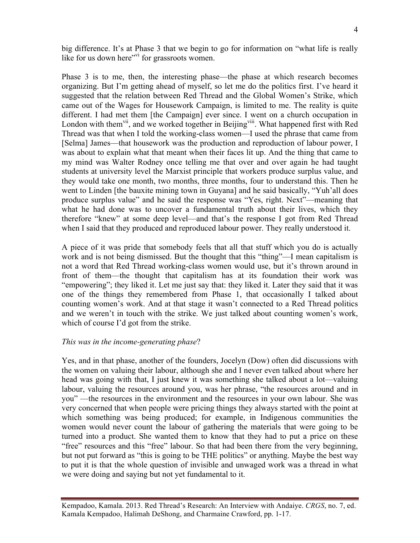big difference. It's at Phase 3 that we begin to go for information on "what life is really like for us down here"<sup>vi</sup> for grassroots women.

Phase 3 is to me, then, the interesting phase—the phase at which research becomes organizing. But I'm getting ahead of myself, so let me do the politics first. I've heard it suggested that the relation between Red Thread and the Global Women's Strike, which came out of the Wages for Housework Campaign, is limited to me. The reality is quite different. I had met them [the Campaign] ever since. I went on a church occupation in London with them<sup>vii</sup>, and we worked together in Beijing<sup>viii</sup>. What happened first with Red Thread was that when I told the working-class women—I used the phrase that came from [Selma] James—that housework was the production and reproduction of labour power, I was about to explain what that meant when their faces lit up. And the thing that came to my mind was Walter Rodney once telling me that over and over again he had taught students at university level the Marxist principle that workers produce surplus value, and they would take one month, two months, three months, four to understand this. Then he went to Linden [the bauxite mining town in Guyana] and he said basically, "Yuh'all does produce surplus value" and he said the response was "Yes, right. Next"—meaning that what he had done was to uncover a fundamental truth about their lives, which they therefore "knew" at some deep level—and that's the response I got from Red Thread when I said that they produced and reproduced labour power. They really understood it.

A piece of it was pride that somebody feels that all that stuff which you do is actually work and is not being dismissed. But the thought that this "thing"—I mean capitalism is not a word that Red Thread working-class women would use, but it's thrown around in front of them—the thought that capitalism has at its foundation their work was "empowering"; they liked it. Let me just say that: they liked it. Later they said that it was one of the things they remembered from Phase 1, that occasionally I talked about counting women's work. And at that stage it wasn't connected to a Red Thread politics and we weren't in touch with the strike. We just talked about counting women's work, which of course I'd got from the strike.

#### *This was in the income-generating phase*?

Yes, and in that phase, another of the founders, Jocelyn (Dow) often did discussions with the women on valuing their labour, although she and I never even talked about where her head was going with that, I just knew it was something she talked about a lot—valuing labour, valuing the resources around you, was her phrase, "the resources around and in you" —the resources in the environment and the resources in your own labour. She was very concerned that when people were pricing things they always started with the point at which something was being produced; for example, in Indigenous communities the women would never count the labour of gathering the materials that were going to be turned into a product. She wanted them to know that they had to put a price on these "free" resources and this "free" labour. So that had been there from the very beginning, but not put forward as "this is going to be THE politics" or anything. Maybe the best way to put it is that the whole question of invisible and unwaged work was a thread in what we were doing and saying but not yet fundamental to it.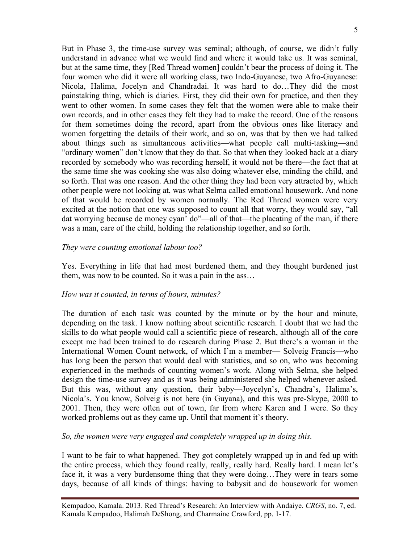But in Phase 3, the time-use survey was seminal; although, of course, we didn't fully understand in advance what we would find and where it would take us. It was seminal, but at the same time, they [Red Thread women] couldn't bear the process of doing it. The four women who did it were all working class, two Indo-Guyanese, two Afro-Guyanese: Nicola, Halima, Jocelyn and Chandradai. It was hard to do…They did the most painstaking thing, which is diaries. First, they did their own for practice, and then they went to other women. In some cases they felt that the women were able to make their own records, and in other cases they felt they had to make the record. One of the reasons for them sometimes doing the record, apart from the obvious ones like literacy and women forgetting the details of their work, and so on, was that by then we had talked about things such as simultaneous activities—what people call multi-tasking—and "ordinary women" don't know that they do that. So that when they looked back at a diary recorded by somebody who was recording herself, it would not be there—the fact that at the same time she was cooking she was also doing whatever else, minding the child, and so forth. That was one reason. And the other thing they had been very attracted by, which other people were not looking at, was what Selma called emotional housework. And none of that would be recorded by women normally. The Red Thread women were very excited at the notion that one was supposed to count all that worry, they would say, "all dat worrying because de money cyan' do"—all of that—the placating of the man, if there was a man, care of the child, holding the relationship together, and so forth.

#### *They were counting emotional labour too?*

Yes. Everything in life that had most burdened them, and they thought burdened just them, was now to be counted. So it was a pain in the ass…

#### *How was it counted, in terms of hours, minutes?*

The duration of each task was counted by the minute or by the hour and minute, depending on the task. I know nothing about scientific research. I doubt that we had the skills to do what people would call a scientific piece of research, although all of the core except me had been trained to do research during Phase 2. But there's a woman in the International Women Count network, of which I'm a member— Solveig Francis—who has long been the person that would deal with statistics, and so on, who was becoming experienced in the methods of counting women's work. Along with Selma, she helped design the time-use survey and as it was being administered she helped whenever asked. But this was, without any question, their baby—Joycelyn's, Chandra's, Halima's, Nicola's. You know, Solveig is not here (in Guyana), and this was pre-Skype, 2000 to 2001. Then, they were often out of town, far from where Karen and I were. So they worked problems out as they came up. Until that moment it's theory.

#### *So, the women were very engaged and completely wrapped up in doing this.*

I want to be fair to what happened. They got completely wrapped up in and fed up with the entire process, which they found really, really, really hard. Really hard. I mean let's face it, it was a very burdensome thing that they were doing…They were in tears some days, because of all kinds of things: having to babysit and do housework for women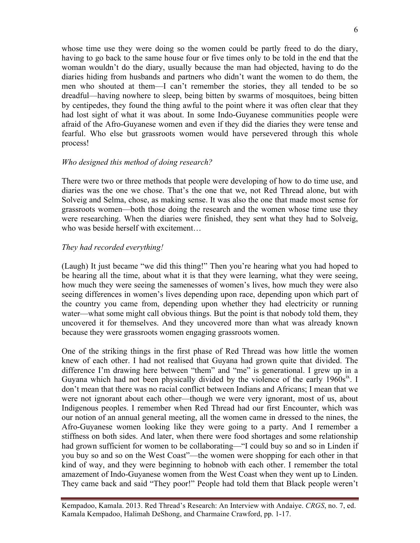whose time use they were doing so the women could be partly freed to do the diary, having to go back to the same house four or five times only to be told in the end that the woman wouldn't do the diary, usually because the man had objected, having to do the diaries hiding from husbands and partners who didn't want the women to do them, the men who shouted at them—I can't remember the stories, they all tended to be so dreadful—having nowhere to sleep, being bitten by swarms of mosquitoes, being bitten by centipedes, they found the thing awful to the point where it was often clear that they had lost sight of what it was about. In some Indo-Guyanese communities people were afraid of the Afro-Guyanese women and even if they did the diaries they were tense and fearful. Who else but grassroots women would have persevered through this whole process!

## *Who designed this method of doing research?*

There were two or three methods that people were developing of how to do time use, and diaries was the one we chose. That's the one that we, not Red Thread alone, but with Solveig and Selma, chose, as making sense. It was also the one that made most sense for grassroots women—both those doing the research and the women whose time use they were researching. When the diaries were finished, they sent what they had to Solveig, who was beside herself with excitement

## *They had recorded everything!*

(Laugh) It just became "we did this thing!" Then you're hearing what you had hoped to be hearing all the time, about what it is that they were learning, what they were seeing, how much they were seeing the samenesses of women's lives, how much they were also seeing differences in women's lives depending upon race, depending upon which part of the country you came from, depending upon whether they had electricity or running water—what some might call obvious things. But the point is that nobody told them, they uncovered it for themselves. And they uncovered more than what was already known because they were grassroots women engaging grassroots women.

One of the striking things in the first phase of Red Thread was how little the women knew of each other. I had not realised that Guyana had grown quite that divided. The difference I'm drawing here between "them" and "me" is generational. I grew up in a Guyana which had not been physically divided by the violence of the early  $1960s^{ix}$ . I don't mean that there was no racial conflict between Indians and Africans; I mean that we were not ignorant about each other—though we were very ignorant, most of us, about Indigenous peoples. I remember when Red Thread had our first Encounter, which was our notion of an annual general meeting, all the women came in dressed to the nines, the Afro-Guyanese women looking like they were going to a party. And I remember a stiffness on both sides. And later, when there were food shortages and some relationship had grown sufficient for women to be collaborating—"I could buy so and so in Linden if you buy so and so on the West Coast"—the women were shopping for each other in that kind of way, and they were beginning to hobnob with each other. I remember the total amazement of Indo-Guyanese women from the West Coast when they went up to Linden. They came back and said "They poor!" People had told them that Black people weren't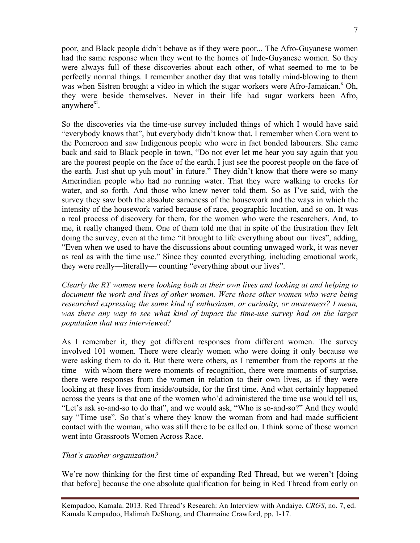poor, and Black people didn't behave as if they were poor... The Afro-Guyanese women had the same response when they went to the homes of Indo-Guyanese women. So they were always full of these discoveries about each other, of what seemed to me to be perfectly normal things. I remember another day that was totally mind-blowing to them was when Sistren brought a video in which the sugar workers were Afro-Jamaican.<sup>x</sup> Oh, they were beside themselves. Never in their life had sugar workers been Afro, anywhere $x_1$ .

So the discoveries via the time-use survey included things of which I would have said "everybody knows that", but everybody didn't know that. I remember when Cora went to the Pomeroon and saw Indigenous people who were in fact bonded labourers. She came back and said to Black people in town, "Do not ever let me hear you say again that you are the poorest people on the face of the earth. I just see the poorest people on the face of the earth. Just shut up yuh mout' in future." They didn't know that there were so many Amerindian people who had no running water. That they were walking to creeks for water, and so forth. And those who knew never told them. So as I've said, with the survey they saw both the absolute sameness of the housework and the ways in which the intensity of the housework varied because of race, geographic location, and so on. It was a real process of discovery for them, for the women who were the researchers. And, to me, it really changed them. One of them told me that in spite of the frustration they felt doing the survey, even at the time "it brought to life everything about our lives", adding, "Even when we used to have the discussions about counting unwaged work, it was never as real as with the time use." Since they counted everything. including emotional work, they were really—literally— counting "everything about our lives".

*Clearly the RT women were looking both at their own lives and looking at and helping to document the work and lives of other women. Were those other women who were being researched expressing the same kind of enthusiasm, or curiosity, or awareness? I mean,*  was there any way to see what kind of impact the time-use survey had on the larger *population that was interviewed?*

As I remember it, they got different responses from different women. The survey involved 101 women. There were clearly women who were doing it only because we were asking them to do it. But there were others, as I remember from the reports at the time—with whom there were moments of recognition, there were moments of surprise, there were responses from the women in relation to their own lives, as if they were looking at these lives from inside/outside, for the first time. And what certainly happened across the years is that one of the women who'd administered the time use would tell us, "Let's ask so-and-so to do that", and we would ask, "Who is so-and-so?" And they would say "Time use". So that's where they know the woman from and had made sufficient contact with the woman, who was still there to be called on. I think some of those women went into Grassroots Women Across Race.

#### *That's another organization?*

We're now thinking for the first time of expanding Red Thread, but we weren't [doing] that before] because the one absolute qualification for being in Red Thread from early on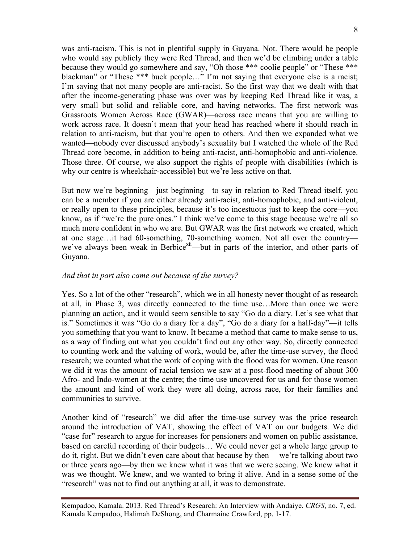was anti-racism. This is not in plentiful supply in Guyana. Not. There would be people who would say publicly they were Red Thread, and then we'd be climbing under a table because they would go somewhere and say, "Oh those \*\*\* coolie people" or "These \*\*\* blackman" or "These \*\*\* buck people…" I'm not saying that everyone else is a racist; I'm saying that not many people are anti-racist. So the first way that we dealt with that after the income-generating phase was over was by keeping Red Thread like it was, a very small but solid and reliable core, and having networks. The first network was Grassroots Women Across Race (GWAR)—across race means that you are willing to work across race. It doesn't mean that your head has reached where it should reach in relation to anti-racism, but that you're open to others. And then we expanded what we wanted—nobody ever discussed anybody's sexuality but I watched the whole of the Red Thread core become, in addition to being anti-racist, anti-homophobic and anti-violence. Those three. Of course, we also support the rights of people with disabilities (which is why our centre is wheelchair-accessible) but we're less active on that.

But now we're beginning—just beginning—to say in relation to Red Thread itself, you can be a member if you are either already anti-racist, anti-homophobic, and anti-violent, or really open to these principles, because it's too incestuous just to keep the core—you know, as if "we're the pure ones." I think we've come to this stage because we're all so much more confident in who we are. But GWAR was the first network we created, which at one stage…it had 60-something, 70-something women. Not all over the country we've always been weak in Berbice<sup>xii</sup>—but in parts of the interior, and other parts of Guyana.

#### *And that in part also came out because of the survey?*

Yes. So a lot of the other "research", which we in all honesty never thought of as research at all, in Phase 3, was directly connected to the time use…More than once we were planning an action, and it would seem sensible to say "Go do a diary. Let's see what that is." Sometimes it was "Go do a diary for a day", "Go do a diary for a half-day"—it tells you something that you want to know. It became a method that came to make sense to us, as a way of finding out what you couldn't find out any other way. So, directly connected to counting work and the valuing of work, would be, after the time-use survey, the flood research; we counted what the work of coping with the flood was for women. One reason we did it was the amount of racial tension we saw at a post-flood meeting of about 300 Afro- and Indo-women at the centre; the time use uncovered for us and for those women the amount and kind of work they were all doing, across race, for their families and communities to survive.

Another kind of "research" we did after the time-use survey was the price research around the introduction of VAT, showing the effect of VAT on our budgets. We did "case for" research to argue for increases for pensioners and women on public assistance, based on careful recording of their budgets… We could never get a whole large group to do it, right. But we didn't even care about that because by then —we're talking about two or three years ago—by then we knew what it was that we were seeing. We knew what it was we thought. We knew, and we wanted to bring it alive. And in a sense some of the "research" was not to find out anything at all, it was to demonstrate.

8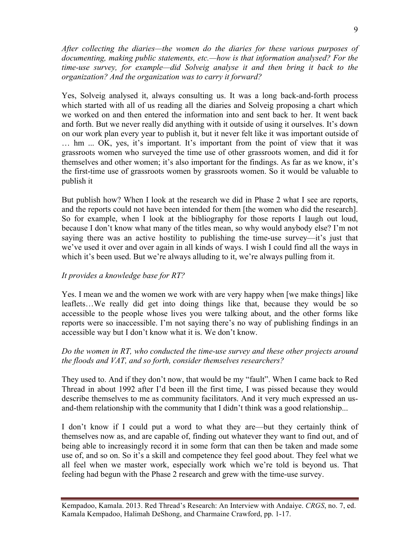*After collecting the diaries—the women do the diaries for these various purposes of documenting, making public statements, etc.—how is that information analysed? For the time-use survey, for example—did Solveig analyse it and then bring it back to the organization? And the organization was to carry it forward?*

Yes, Solveig analysed it, always consulting us. It was a long back-and-forth process which started with all of us reading all the diaries and Solveig proposing a chart which we worked on and then entered the information into and sent back to her. It went back and forth. But we never really did anything with it outside of using it ourselves. It's down on our work plan every year to publish it, but it never felt like it was important outside of … hm ... OK, yes, it's important. It's important from the point of view that it was grassroots women who surveyed the time use of other grassroots women, and did it for themselves and other women; it's also important for the findings. As far as we know, it's the first-time use of grassroots women by grassroots women. So it would be valuable to publish it

But publish how? When I look at the research we did in Phase 2 what I see are reports, and the reports could not have been intended for them [the women who did the research]. So for example, when I look at the bibliography for those reports I laugh out loud, because I don't know what many of the titles mean, so why would anybody else? I'm not saying there was an active hostility to publishing the time-use survey—it's just that we've used it over and over again in all kinds of ways. I wish I could find all the ways in which it's been used. But we're always alluding to it, we're always pulling from it.

# *It provides a knowledge base for RT?*

Yes. I mean we and the women we work with are very happy when [we make things] like leaflets…We really did get into doing things like that, because they would be so accessible to the people whose lives you were talking about, and the other forms like reports were so inaccessible. I'm not saying there's no way of publishing findings in an accessible way but I don't know what it is. We don't know.

## *Do the women in RT, who conducted the time-use survey and these other projects around the floods and VAT, and so forth, consider themselves researchers?*

They used to. And if they don't now, that would be my "fault". When I came back to Red Thread in about 1992 after I'd been ill the first time, I was pissed because they would describe themselves to me as community facilitators. And it very much expressed an usand-them relationship with the community that I didn't think was a good relationship...

I don't know if I could put a word to what they are—but they certainly think of themselves now as, and are capable of, finding out whatever they want to find out, and of being able to increasingly record it in some form that can then be taken and made some use of, and so on. So it's a skill and competence they feel good about. They feel what we all feel when we master work, especially work which we're told is beyond us. That feeling had begun with the Phase 2 research and grew with the time-use survey.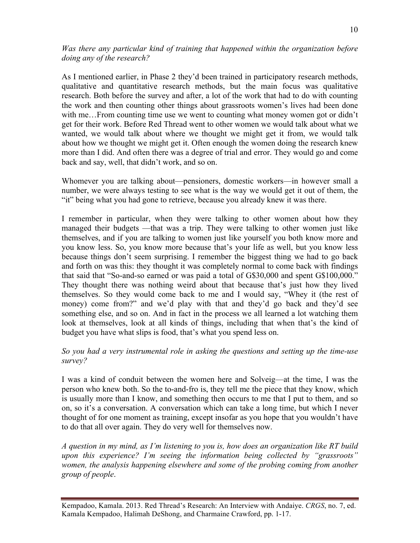*Was there any particular kind of training that happened within the organization before doing any of the research?*

As I mentioned earlier, in Phase 2 they'd been trained in participatory research methods, qualitative and quantitative research methods, but the main focus was qualitative research. Both before the survey and after, a lot of the work that had to do with counting the work and then counting other things about grassroots women's lives had been done with me...From counting time use we went to counting what money women got or didn't get for their work. Before Red Thread went to other women we would talk about what we wanted, we would talk about where we thought we might get it from, we would talk about how we thought we might get it. Often enough the women doing the research knew more than I did. And often there was a degree of trial and error. They would go and come back and say, well, that didn't work, and so on.

Whomever you are talking about—pensioners, domestic workers—in however small a number, we were always testing to see what is the way we would get it out of them, the "it" being what you had gone to retrieve, because you already knew it was there.

I remember in particular, when they were talking to other women about how they managed their budgets —that was a trip. They were talking to other women just like themselves, and if you are talking to women just like yourself you both know more and you know less. So, you know more because that's your life as well, but you know less because things don't seem surprising. I remember the biggest thing we had to go back and forth on was this: they thought it was completely normal to come back with findings that said that "So-and-so earned or was paid a total of G\$30,000 and spent G\$100,000." They thought there was nothing weird about that because that's just how they lived themselves. So they would come back to me and I would say, "Whey it (the rest of money) come from?" and we'd play with that and they'd go back and they'd see something else, and so on. And in fact in the process we all learned a lot watching them look at themselves, look at all kinds of things, including that when that's the kind of budget you have what slips is food, that's what you spend less on.

## *So you had a very instrumental role in asking the questions and setting up the time-use survey?*

I was a kind of conduit between the women here and Solveig—at the time, I was the person who knew both. So the to-and-fro is, they tell me the piece that they know, which is usually more than I know, and something then occurs to me that I put to them, and so on, so it's a conversation. A conversation which can take a long time, but which I never thought of for one moment as training, except insofar as you hope that you wouldn't have to do that all over again. They do very well for themselves now.

*A question in my mind, as I'm listening to you is, how does an organization like RT build upon this experience? I'm seeing the information being collected by "grassroots" women, the analysis happening elsewhere and some of the probing coming from another group of people*.

Kempadoo, Kamala. 2013. Red Thread's Research: An Interview with Andaiye. *CRGS*, no. 7, ed. Kamala Kempadoo, Halimah DeShong, and Charmaine Crawford, pp. 1-17.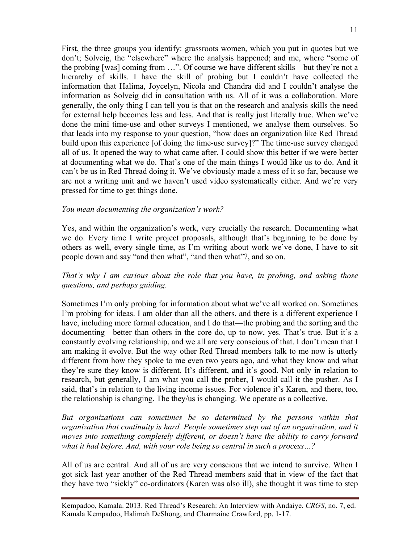First, the three groups you identify: grassroots women, which you put in quotes but we don't; Solveig, the "elsewhere" where the analysis happened; and me, where "some of the probing [was] coming from …". Of course we have different skills—but they're not a hierarchy of skills. I have the skill of probing but I couldn't have collected the information that Halima, Joycelyn, Nicola and Chandra did and I couldn't analyse the information as Solveig did in consultation with us. All of it was a collaboration. More generally, the only thing I can tell you is that on the research and analysis skills the need for external help becomes less and less. And that is really just literally true. When we've done the mini time-use and other surveys I mentioned, we analyse them ourselves. So that leads into my response to your question, "how does an organization like Red Thread build upon this experience [of doing the time-use survey]?" The time-use survey changed all of us. It opened the way to what came after. I could show this better if we were better at documenting what we do. That's one of the main things I would like us to do. And it can't be us in Red Thread doing it. We've obviously made a mess of it so far, because we are not a writing unit and we haven't used video systematically either. And we're very pressed for time to get things done.

#### *You mean documenting the organization's work?*

Yes, and within the organization's work, very crucially the research. Documenting what we do. Every time I write project proposals, although that's beginning to be done by others as well, every single time, as I'm writing about work we've done, I have to sit people down and say "and then what", "and then what"?, and so on.

# *That's why I am curious about the role that you have, in probing, and asking those questions, and perhaps guiding.*

Sometimes I'm only probing for information about what we've all worked on. Sometimes I'm probing for ideas. I am older than all the others, and there is a different experience I have, including more formal education, and I do that—the probing and the sorting and the documenting—better than others in the core do, up to now, yes. That's true. But it's a constantly evolving relationship, and we all are very conscious of that. I don't mean that I am making it evolve. But the way other Red Thread members talk to me now is utterly different from how they spoke to me even two years ago, and what they know and what they're sure they know is different. It's different, and it's good. Not only in relation to research, but generally, I am what you call the prober, I would call it the pusher. As I said, that's in relation to the living income issues. For violence it's Karen, and there, too, the relationship is changing. The they/us is changing. We operate as a collective.

*But organizations can sometimes be so determined by the persons within that organization that continuity is hard. People sometimes step out of an organization, and it moves into something completely different, or doesn't have the ability to carry forward what it had before. And, with your role being so central in such a process…?*

All of us are central. And all of us are very conscious that we intend to survive. When I got sick last year another of the Red Thread members said that in view of the fact that they have two "sickly" co-ordinators (Karen was also ill), she thought it was time to step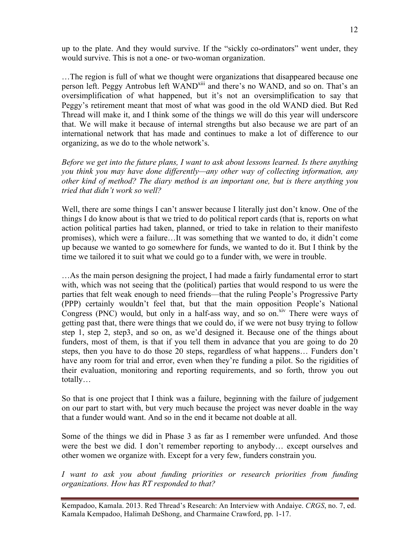up to the plate. And they would survive. If the "sickly co-ordinators" went under, they would survive. This is not a one- or two-woman organization.

…The region is full of what we thought were organizations that disappeared because one person left. Peggy Antrobus left WAND<sup>xiii</sup> and there's no WAND, and so on. That's an oversimplification of what happened, but it's not an oversimplification to say that Peggy's retirement meant that most of what was good in the old WAND died. But Red Thread will make it, and I think some of the things we will do this year will underscore that. We will make it because of internal strengths but also because we are part of an international network that has made and continues to make a lot of difference to our organizing, as we do to the whole network's.

*Before we get into the future plans, I want to ask about lessons learned. Is there anything you think you may have done differently—any other way of collecting information, any other kind of method? The diary method is an important one, but is there anything you tried that didn't work so well?*

Well, there are some things I can't answer because I literally just don't know. One of the things I do know about is that we tried to do political report cards (that is, reports on what action political parties had taken, planned, or tried to take in relation to their manifesto promises), which were a failure…It was something that we wanted to do, it didn't come up because we wanted to go somewhere for funds, we wanted to do it. But I think by the time we tailored it to suit what we could go to a funder with, we were in trouble.

…As the main person designing the project, I had made a fairly fundamental error to start with, which was not seeing that the (political) parties that would respond to us were the parties that felt weak enough to need friends—that the ruling People's Progressive Party (PPP) certainly wouldn't feel that, but that the main opposition People's National Congress (PNC) would, but only in a half-ass way, and so on.xiv There were ways of getting past that, there were things that we could do, if we were not busy trying to follow step 1, step 2, step3, and so on, as we'd designed it. Because one of the things about funders, most of them, is that if you tell them in advance that you are going to do 20 steps, then you have to do those 20 steps, regardless of what happens… Funders don't have any room for trial and error, even when they're funding a pilot. So the rigidities of their evaluation, monitoring and reporting requirements, and so forth, throw you out totally…

So that is one project that I think was a failure, beginning with the failure of judgement on our part to start with, but very much because the project was never doable in the way that a funder would want. And so in the end it became not doable at all.

Some of the things we did in Phase 3 as far as I remember were unfunded. And those were the best we did. I don't remember reporting to anybody… except ourselves and other women we organize with. Except for a very few, funders constrain you.

*I want to ask you about funding priorities or research priorities from funding organizations. How has RT responded to that?*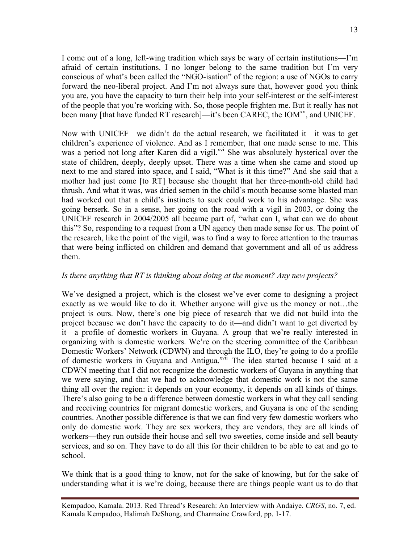I come out of a long, left-wing tradition which says be wary of certain institutions—I'm afraid of certain institutions. I no longer belong to the same tradition but I'm very conscious of what's been called the "NGO-isation" of the region: a use of NGOs to carry forward the neo-liberal project. And I'm not always sure that, however good you think you are, you have the capacity to turn their help into your self-interest or the self-interest of the people that you're working with. So, those people frighten me. But it really has not been many [that have funded RT research]—it's been CAREC, the IOM<sup>xv</sup>, and UNICEF.

Now with UNICEF—we didn't do the actual research, we facilitated it—it was to get children's experience of violence. And as I remember, that one made sense to me. This was a period not long after Karen did a vigil.<sup>xvi</sup> She was absolutely hysterical over the state of children, deeply, deeply upset. There was a time when she came and stood up next to me and stared into space, and I said, "What is it this time?" And she said that a mother had just come [to RT] because she thought that her three-month-old child had thrush. And what it was, was dried semen in the child's mouth because some blasted man had worked out that a child's instincts to suck could work to his advantage. She was going berserk. So in a sense, her going on the road with a vigil in 2003, or doing the UNICEF research in 2004/2005 all became part of, "what can I, what can we do about this"? So, responding to a request from a UN agency then made sense for us. The point of the research, like the point of the vigil, was to find a way to force attention to the traumas that were being inflicted on children and demand that government and all of us address them.

#### *Is there anything that RT is thinking about doing at the moment? Any new projects?*

We've designed a project, which is the closest we've ever come to designing a project exactly as we would like to do it. Whether anyone will give us the money or not…the project is ours. Now, there's one big piece of research that we did not build into the project because we don't have the capacity to do it—and didn't want to get diverted by it—a profile of domestic workers in Guyana. A group that we're really interested in organizing with is domestic workers. We're on the steering committee of the Caribbean Domestic Workers' Network (CDWN) and through the ILO, they're going to do a profile of domestic workers in Guyana and Antigua.<sup>xvii</sup> The idea started because I said at a CDWN meeting that I did not recognize the domestic workers of Guyana in anything that we were saying, and that we had to acknowledge that domestic work is not the same thing all over the region: it depends on your economy, it depends on all kinds of things. There's also going to be a difference between domestic workers in what they call sending and receiving countries for migrant domestic workers, and Guyana is one of the sending countries. Another possible difference is that we can find very few domestic workers who only do domestic work. They are sex workers, they are vendors, they are all kinds of workers—they run outside their house and sell two sweeties, come inside and sell beauty services, and so on. They have to do all this for their children to be able to eat and go to school.

We think that is a good thing to know, not for the sake of knowing, but for the sake of understanding what it is we're doing, because there are things people want us to do that

Kempadoo, Kamala. 2013. Red Thread's Research: An Interview with Andaiye. *CRGS*, no. 7, ed. Kamala Kempadoo, Halimah DeShong, and Charmaine Crawford, pp. 1-17.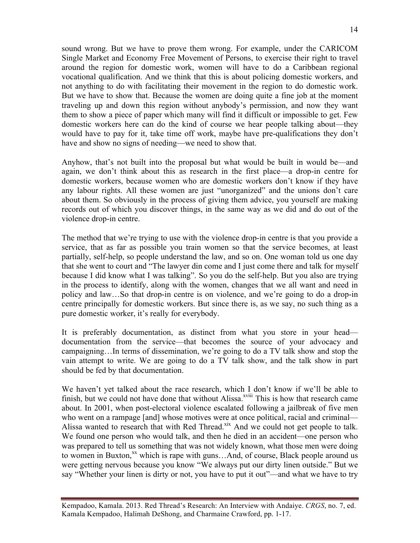sound wrong. But we have to prove them wrong. For example, under the CARICOM Single Market and Economy Free Movement of Persons, to exercise their right to travel around the region for domestic work, women will have to do a Caribbean regional vocational qualification. And we think that this is about policing domestic workers, and not anything to do with facilitating their movement in the region to do domestic work. But we have to show that. Because the women are doing quite a fine job at the moment traveling up and down this region without anybody's permission, and now they want them to show a piece of paper which many will find it difficult or impossible to get. Few domestic workers here can do the kind of course we hear people talking about—they

would have to pay for it, take time off work, maybe have pre-qualifications they don't have and show no signs of needing—we need to show that.

Anyhow, that's not built into the proposal but what would be built in would be—and again, we don't think about this as research in the first place—a drop-in centre for domestic workers, because women who are domestic workers don't know if they have any labour rights. All these women are just "unorganized" and the unions don't care about them. So obviously in the process of giving them advice, you yourself are making records out of which you discover things, in the same way as we did and do out of the violence drop-in centre.

The method that we're trying to use with the violence drop-in centre is that you provide a service, that as far as possible you train women so that the service becomes, at least partially, self-help, so people understand the law, and so on. One woman told us one day that she went to court and "The lawyer din come and I just come there and talk for myself because I did know what I was talking". So you do the self-help. But you also are trying in the process to identify, along with the women, changes that we all want and need in policy and law…So that drop-in centre is on violence, and we're going to do a drop-in centre principally for domestic workers. But since there is, as we say, no such thing as a pure domestic worker, it's really for everybody.

It is preferably documentation, as distinct from what you store in your head documentation from the service—that becomes the source of your advocacy and campaigning…In terms of dissemination, we're going to do a TV talk show and stop the vain attempt to write. We are going to do a TV talk show, and the talk show in part should be fed by that documentation.

We haven't yet talked about the race research, which I don't know if we'll be able to finish, but we could not have done that without Alissa.<sup>xviii</sup> This is how that research came about. In 2001, when post-electoral violence escalated following a jailbreak of five men who went on a rampage [and] whose motives were at once political, racial and criminal— Alissa wanted to research that with Red Thread.<sup>xix</sup> And we could not get people to talk. We found one person who would talk, and then he died in an accident—one person who was prepared to tell us something that was not widely known, what those men were doing to women in Buxton, $^{xx}$  which is rape with guns... And, of course, Black people around us were getting nervous because you know "We always put our dirty linen outside." But we say "Whether your linen is dirty or not, you have to put it out"—and what we have to try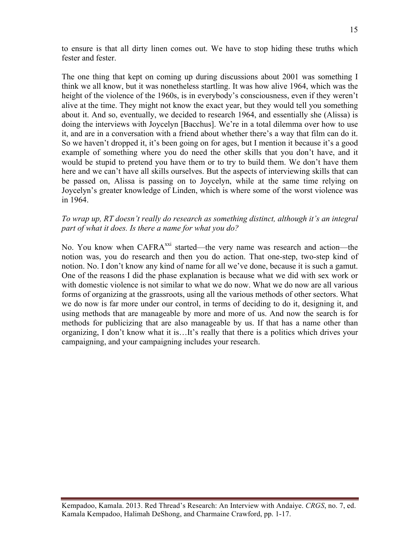to ensure is that all dirty linen comes out. We have to stop hiding these truths which fester and fester.

The one thing that kept on coming up during discussions about 2001 was something I think we all know, but it was nonetheless startling. It was how alive 1964, which was the height of the violence of the 1960s, is in everybody's consciousness, even if they weren't alive at the time. They might not know the exact year, but they would tell you something about it. And so, eventually, we decided to research 1964, and essentially she (Alissa) is doing the interviews with Joycelyn [Bacchus]. We're in a total dilemma over how to use it, and are in a conversation with a friend about whether there's a way that film can do it. So we haven't dropped it, it's been going on for ages, but I mention it because it's a good example of something where you do need the other skills that you don't have, and it would be stupid to pretend you have them or to try to build them. We don't have them here and we can't have all skills ourselves. But the aspects of interviewing skills that can be passed on, Alissa is passing on to Joycelyn, while at the same time relying on Joycelyn's greater knowledge of Linden, which is where some of the worst violence was in 1964.

#### *To wrap up, RT doesn't really do research as something distinct, although it's an integral part of what it does. Is there a name for what you do?*

No. You know when CAFRA<sup>xxi</sup> started—the very name was research and action—the notion was, you do research and then you do action. That one-step, two-step kind of notion. No. I don't know any kind of name for all we've done, because it is such a gamut. One of the reasons I did the phase explanation is because what we did with sex work or with domestic violence is not similar to what we do now. What we do now are all various forms of organizing at the grassroots, using all the various methods of other sectors. What we do now is far more under our control, in terms of deciding to do it, designing it, and using methods that are manageable by more and more of us. And now the search is for methods for publicizing that are also manageable by us. If that has a name other than organizing, I don't know what it is…It's really that there is a politics which drives your campaigning, and your campaigning includes your research.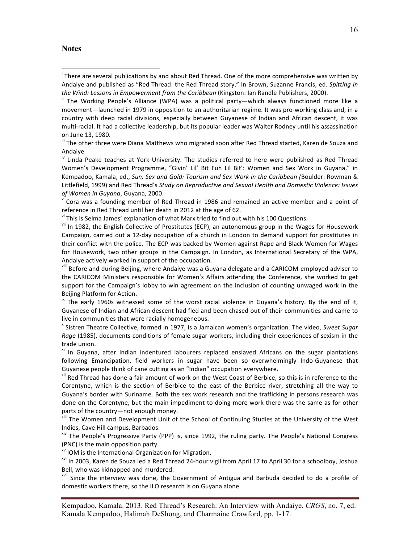#### **Notes**

III The other three were Diana Matthews who migrated soon after Red Thread started, Karen de Souza and Andaiye

Linda Peake teaches at York University. The studies referred to here were published as Red Thread Women's Development Programme, "Givin' Lil' Bit Fuh Lil Bit': Women and Sex Work in Guyana," in Kempadoo, Kamala, ed., *Sun, Sex and Gold: Tourism and Sex Work in the Caribbean (*Boulder: Rowman & Littlefield, 1999) and Red Thread's *Study on Reproductive and Sexual Health and Domestic Violence: Issues of Women in Guyana*, Guyana, 2000.<br>
<sup>V</sup> Cora was a founding member of Red Thread in 1986 and remained an active member and a point of

reference in Red Thread until her death in 2012 at the age of 62.<br><sup>vi</sup> This is Selma James' explanation of what Marx tried to find out with his 100 Questions.

vii In 1982, the English Collective of Prostitutes (ECP), an autonomous group in the Wages for Housework Campaign, carried out a 12-day occupation of a church in London to demand support for prostitutes in their conflict with the police. The ECP was backed by Women against Rape and Black Women for Wages for Housework, two other groups in the Campaign. In London, as International Secretary of the WPA, Andaiye actively worked in support of the occupation.

vill Before and during Beijing, where Andaiye was a Guyana delegate and a CARICOM-employed adviser to the CARICOM Ministers responsible for Women's Affairs attending the Conference, she worked to get support for the Campaign's lobby to win agreement on the inclusion of counting unwaged work in the Beijing Platform for Action.

 $\overline{a}$  The early 1960s witnessed some of the worst racial violence in Guyana's history. By the end of it, Guyanese of Indian and African descent had fled and been chased out of their communities and came to live in communities that were racially homogeneous.

<sup>x</sup> Sistren Theatre Collective, formed in 1977, is a Jamaican women's organization. The video, *Sweet Sugar* Rage (1985), documents conditions of female sugar workers, including their experiences of sexism in the trade union.

<sup>xi</sup> In Guyana, after Indian indentured labourers replaced enslaved Africans on the sugar plantations following Emancipation, field workers in sugar have been so overwhelmingly Indo-Guyanese that Guyanese people think of cane cutting as an "Indian" occupation everywhere.

<sup>xii</sup> Red Thread has done a fair amount of work on the West Coast of Berbice, so this is in reference to the Corentyne, which is the section of Berbice to the east of the Berbice river, stretching all the way to Guyana's border with Suriname. Both the sex work research and the trafficking in persons research was done on the Corentyne, but the main impediment to doing more work there was the same as for other parts of the country—not enough money.<br>
<sup>xiii</sup> The Women and Development Unit of the School of Continuing Studies at the University of the West

Indies, Cave Hill campus, Barbados.

 $x^2$  The People's Progressive Party (PPP) is, since 1992, the ruling party. The People's National Congress (PNC) is the main opposition party.<br>
<sup>XV</sup> IOM is the International Organization for Migration.

<sup>xvi</sup> In 2003, Karen de Souza led a Red Thread 24-hour vigil from April 17 to April 30 for a schoolboy, Joshua Bell, who was kidnapped and murdered.

<sup>xvii</sup> Since the interview was done, the Government of Antigua and Barbuda decided to do a profile of domestic workers there, so the ILO research is on Guyana alone.

i  $^{\text{i}}$  There are several publications by and about Red Thread. One of the more comprehensive was written by Andaiye and published as "Red Thread: the Red Thread story." in Brown, Suzanne Francis, ed. Spitting in *the Wind: Lessons in Empowerment from the Caribbean* (Kingston: Ian Randle Publishers, 2000).<br><sup>ii</sup> The Working People's Alliance (WPA) was a political party—which always functioned more like a

movement—launched in 1979 in opposition to an authoritarian regime. It was pro-working class and, in a country with deep racial divisions, especially between Guyanese of Indian and African descent, it was multi-racial. It had a collective leadership, but its popular leader was Walter Rodney until his assassination on June 13, 1980.